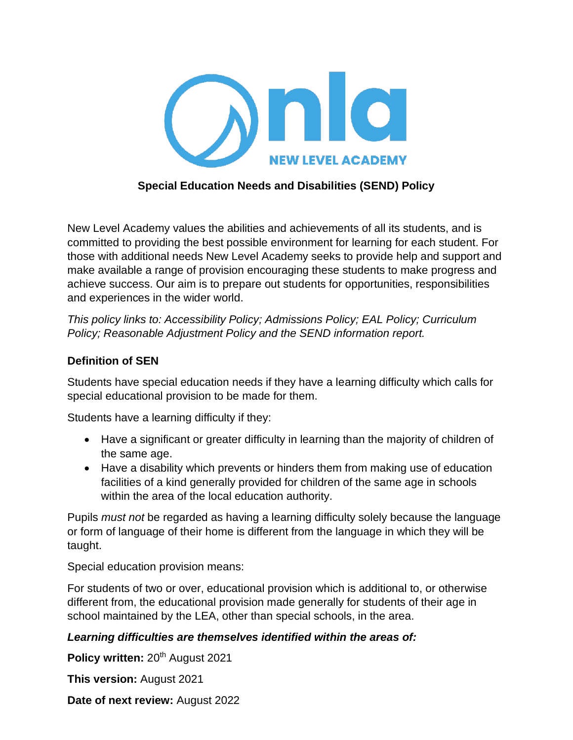

### **Special Education Needs and Disabilities (SEND) Policy**

New Level Academy values the abilities and achievements of all its students, and is committed to providing the best possible environment for learning for each student. For those with additional needs New Level Academy seeks to provide help and support and make available a range of provision encouraging these students to make progress and achieve success. Our aim is to prepare out students for opportunities, responsibilities and experiences in the wider world.

*This policy links to: Accessibility Policy; Admissions Policy; EAL Policy; Curriculum Policy; Reasonable Adjustment Policy and the SEND information report.*

### **Definition of SEN**

Students have special education needs if they have a learning difficulty which calls for special educational provision to be made for them.

Students have a learning difficulty if they:

- Have a significant or greater difficulty in learning than the majority of children of the same age.
- Have a disability which prevents or hinders them from making use of education facilities of a kind generally provided for children of the same age in schools within the area of the local education authority.

Pupils *must not* be regarded as having a learning difficulty solely because the language or form of language of their home is different from the language in which they will be taught.

Special education provision means:

For students of two or over, educational provision which is additional to, or otherwise different from, the educational provision made generally for students of their age in school maintained by the LEA, other than special schools, in the area.

### *Learning difficulties are themselves identified within the areas of:*

Policy written: 20<sup>th</sup> August 2021

**This version:** August 2021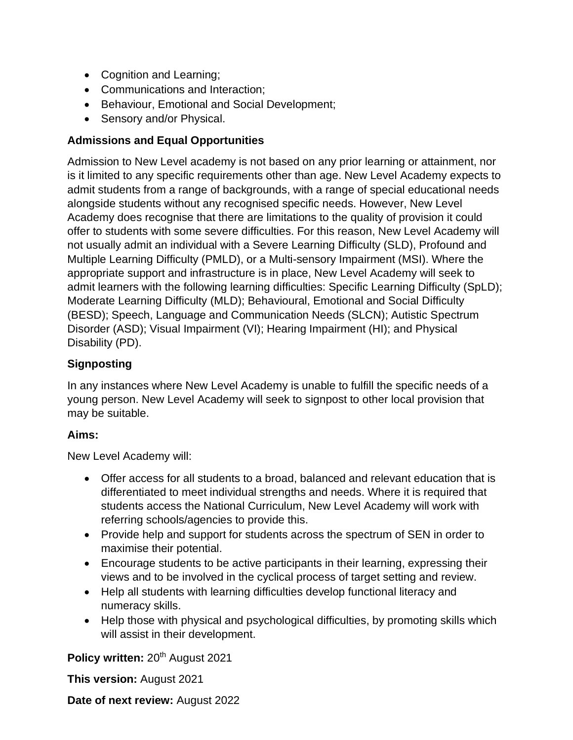- Cognition and Learning;
- Communications and Interaction;
- Behaviour, Emotional and Social Development;
- Sensory and/or Physical.

## **Admissions and Equal Opportunities**

Admission to New Level academy is not based on any prior learning or attainment, nor is it limited to any specific requirements other than age. New Level Academy expects to admit students from a range of backgrounds, with a range of special educational needs alongside students without any recognised specific needs. However, New Level Academy does recognise that there are limitations to the quality of provision it could offer to students with some severe difficulties. For this reason, New Level Academy will not usually admit an individual with a Severe Learning Difficulty (SLD), Profound and Multiple Learning Difficulty (PMLD), or a Multi-sensory Impairment (MSI). Where the appropriate support and infrastructure is in place, New Level Academy will seek to admit learners with the following learning difficulties: Specific Learning Difficulty (SpLD); Moderate Learning Difficulty (MLD); Behavioural, Emotional and Social Difficulty (BESD); Speech, Language and Communication Needs (SLCN); Autistic Spectrum Disorder (ASD); Visual Impairment (VI); Hearing Impairment (HI); and Physical Disability (PD).

# **Signposting**

In any instances where New Level Academy is unable to fulfill the specific needs of a young person. New Level Academy will seek to signpost to other local provision that may be suitable.

### **Aims:**

New Level Academy will:

- Offer access for all students to a broad, balanced and relevant education that is differentiated to meet individual strengths and needs. Where it is required that students access the National Curriculum, New Level Academy will work with referring schools/agencies to provide this.
- Provide help and support for students across the spectrum of SEN in order to maximise their potential.
- Encourage students to be active participants in their learning, expressing their views and to be involved in the cyclical process of target setting and review.
- Help all students with learning difficulties develop functional literacy and numeracy skills.
- Help those with physical and psychological difficulties, by promoting skills which will assist in their development.

Policy written: 20<sup>th</sup> August 2021

**This version:** August 2021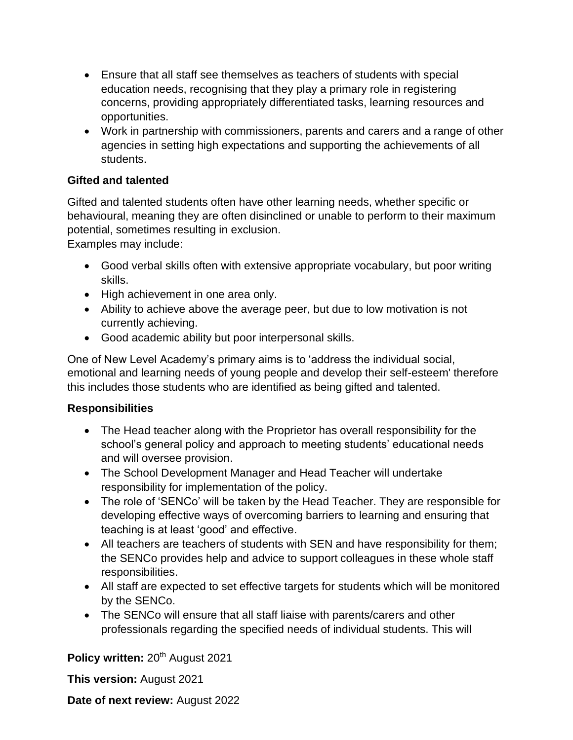- Ensure that all staff see themselves as teachers of students with special education needs, recognising that they play a primary role in registering concerns, providing appropriately differentiated tasks, learning resources and opportunities.
- Work in partnership with commissioners, parents and carers and a range of other agencies in setting high expectations and supporting the achievements of all students.

### **Gifted and talented**

Gifted and talented students often have other learning needs, whether specific or behavioural, meaning they are often disinclined or unable to perform to their maximum potential, sometimes resulting in exclusion.

Examples may include:

- Good verbal skills often with extensive appropriate vocabulary, but poor writing skills.
- High achievement in one area only.
- Ability to achieve above the average peer, but due to low motivation is not currently achieving.
- Good academic ability but poor interpersonal skills.

One of New Level Academy's primary aims is to 'address the individual social, emotional and learning needs of young people and develop their self-esteem' therefore this includes those students who are identified as being gifted and talented.

### **Responsibilities**

- The Head teacher along with the Proprietor has overall responsibility for the school's general policy and approach to meeting students' educational needs and will oversee provision.
- The School Development Manager and Head Teacher will undertake responsibility for implementation of the policy.
- The role of 'SENCo' will be taken by the Head Teacher. They are responsible for developing effective ways of overcoming barriers to learning and ensuring that teaching is at least 'good' and effective.
- All teachers are teachers of students with SEN and have responsibility for them; the SENCo provides help and advice to support colleagues in these whole staff responsibilities.
- All staff are expected to set effective targets for students which will be monitored by the SENCo.
- The SENCo will ensure that all staff liaise with parents/carers and other professionals regarding the specified needs of individual students. This will

# Policy written: 20<sup>th</sup> August 2021

**This version:** August 2021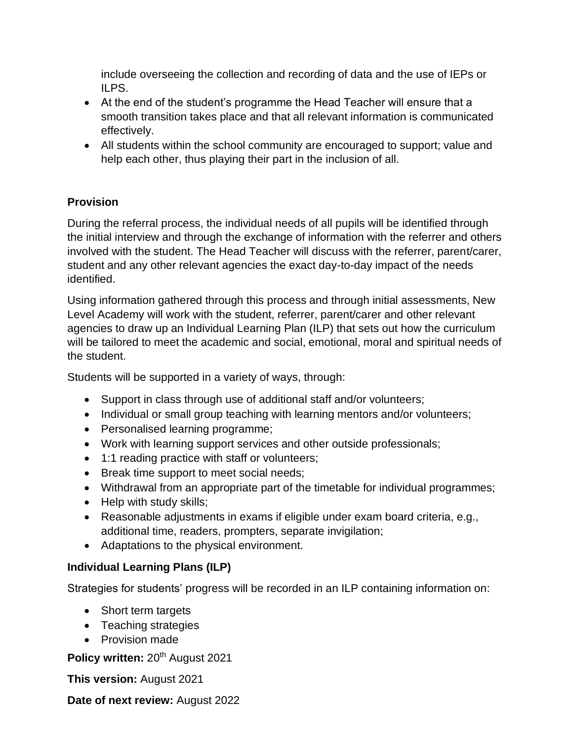include overseeing the collection and recording of data and the use of IEPs or ILPS.

- At the end of the student's programme the Head Teacher will ensure that a smooth transition takes place and that all relevant information is communicated effectively.
- All students within the school community are encouraged to support; value and help each other, thus playing their part in the inclusion of all.

# **Provision**

During the referral process, the individual needs of all pupils will be identified through the initial interview and through the exchange of information with the referrer and others involved with the student. The Head Teacher will discuss with the referrer, parent/carer, student and any other relevant agencies the exact day-to-day impact of the needs identified.

Using information gathered through this process and through initial assessments, New Level Academy will work with the student, referrer, parent/carer and other relevant agencies to draw up an Individual Learning Plan (ILP) that sets out how the curriculum will be tailored to meet the academic and social, emotional, moral and spiritual needs of the student.

Students will be supported in a variety of ways, through:

- Support in class through use of additional staff and/or volunteers;
- Individual or small group teaching with learning mentors and/or volunteers;
- Personalised learning programme;
- Work with learning support services and other outside professionals;
- 1:1 reading practice with staff or volunteers;
- Break time support to meet social needs;
- Withdrawal from an appropriate part of the timetable for individual programmes;
- Help with study skills;
- Reasonable adjustments in exams if eligible under exam board criteria, e.g., additional time, readers, prompters, separate invigilation;
- Adaptations to the physical environment.

# **Individual Learning Plans (ILP)**

Strategies for students' progress will be recorded in an ILP containing information on:

- Short term targets
- Teaching strategies
- Provision made

Policy written: 20<sup>th</sup> August 2021

**This version:** August 2021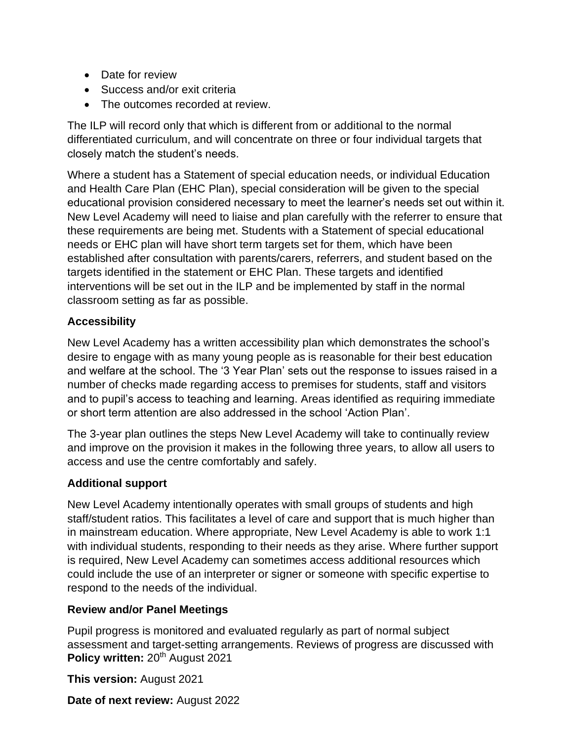- Date for review
- Success and/or exit criteria
- The outcomes recorded at review.

The ILP will record only that which is different from or additional to the normal differentiated curriculum, and will concentrate on three or four individual targets that closely match the student's needs.

Where a student has a Statement of special education needs, or individual Education and Health Care Plan (EHC Plan), special consideration will be given to the special educational provision considered necessary to meet the learner's needs set out within it. New Level Academy will need to liaise and plan carefully with the referrer to ensure that these requirements are being met. Students with a Statement of special educational needs or EHC plan will have short term targets set for them, which have been established after consultation with parents/carers, referrers, and student based on the targets identified in the statement or EHC Plan. These targets and identified interventions will be set out in the ILP and be implemented by staff in the normal classroom setting as far as possible.

### **Accessibility**

New Level Academy has a written accessibility plan which demonstrates the school's desire to engage with as many young people as is reasonable for their best education and welfare at the school. The '3 Year Plan' sets out the response to issues raised in a number of checks made regarding access to premises for students, staff and visitors and to pupil's access to teaching and learning. Areas identified as requiring immediate or short term attention are also addressed in the school 'Action Plan'.

The 3-year plan outlines the steps New Level Academy will take to continually review and improve on the provision it makes in the following three years, to allow all users to access and use the centre comfortably and safely.

### **Additional support**

New Level Academy intentionally operates with small groups of students and high staff/student ratios. This facilitates a level of care and support that is much higher than in mainstream education. Where appropriate, New Level Academy is able to work 1:1 with individual students, responding to their needs as they arise. Where further support is required, New Level Academy can sometimes access additional resources which could include the use of an interpreter or signer or someone with specific expertise to respond to the needs of the individual.

### **Review and/or Panel Meetings**

Policy written: 20<sup>th</sup> August 2021 Pupil progress is monitored and evaluated regularly as part of normal subject assessment and target-setting arrangements. Reviews of progress are discussed with

**This version:** August 2021